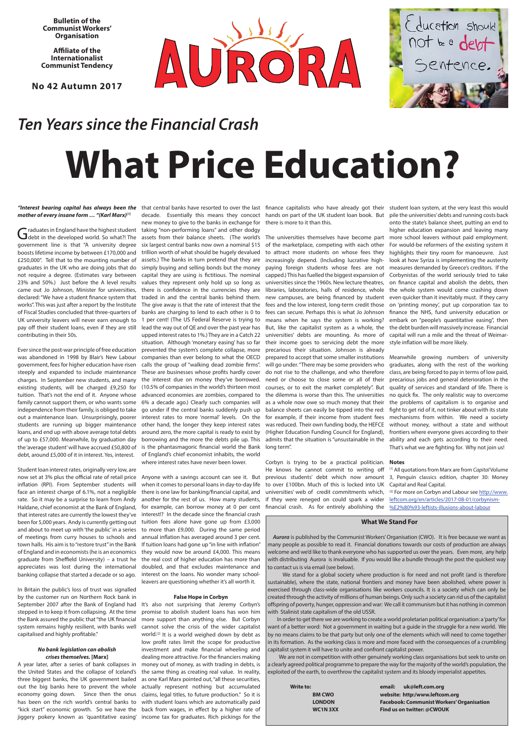**Bulletin of the Communist Workers' Organisation**

**Affiliate of the Internationalist Communist Tendency** 

**No 42 Autumn 2017**





# *Ten Years since the Financial Crash*

# **What Price Education?**

### *mother of every insane form … "(Karl Marx)[1]*

Graduates in England have the highest student taking "non-performing loans" and other dodgy higher education expansion and leaving many<br>Graduates in England have the highest student taking "non-performing loans" and other government line is that "A university degree boosts lifetime income by between £170,000 and £250,000". Tell that to the mounting number of graduates in the UK who are doing jobs that do not require a degree. (Estimates vary between 23% and 50%.) Just before the A level results came out Jo Johnson, Minister for universities, declared:"We have a student finance system that works". This was just after a report by the Institute of Fiscal Studies concluded that three-quarters of UK university leavers will never earn enough to pay off their student loans, even if they are still contributing in their 50s.

Student loan interest rates, originally very low, are now set at 3% plus the official rate of retail price inflation (RPI). From September students will face an interest charge of 6.1%, not a negligible there is one law for banking/financial capital, and rate. So it may be a surprise to learn from Andy Haldane, chief economist at the Bank of England, that interest rates are currently the lowest they've interest!? In the decade since the financial crash been for 5,000 years. Andy is currently getting out tuition fees alone have gone up from £3,000 and about to meet up with 'the public' in a series to more than £9,000. During the same period of meetings from curry houses to schools and annual inflation has averaged around 3 per cent. town halls. His aim is to "restore trust" in the Bank If tuition loans had gone up "in line with inflation" of England and in economists (he is an economics they would now be around £4,000. This means

Ever since the post-war principle of free education was abandoned in 1998 by Blair's New Labour companies than ever belong to what the OECD government, fees for higher education have risen steeply and expanded to include maintenance charges. In September new students, and many existing students, will be charged £9,250 for (10.5% of companies in the world's thirteen most tuition. That's not the end of it. Anyone whose advanced economies are zombies, compared to family cannot support them, or who wants some 6% a decade ago.) Clearly such companies will independence from their family, is obliged to take go under if the central banks suddenly push up out a maintenance loan. Unsurprisingly, poorer interest rates to more 'normal' levels. On the students are running up bigger maintenance loans, and end up with above average total debts of up to £57,000. Meanwhile, by graduation day the 'average student' will have accrued £50,800 of is the phantasmagoric financial world the Bank debt, around £5,000 of it in interest. Yes, interest.

graduate from Sheffield University) – a trust he the real cost of higher education has more than Anyone with a savings account can see it. But when it comes to personal loans in day-to-day life another for the rest of us. How many students, for example, can borrow money at 0 per cent

In Britain the public's loss of trust was signalled by the customer run on Northern Rock bank in September 2007 after the Bank of England had It's also not surprising that Jeremy Corbyn's stepped in to keep it from collapsing. At the time the Bank assured the public that "the UK financial system remains highly resilient, with banks well capitalised and highly profitable."

### *No bank legislation can abolish crises themselves.* **[Marx]**

A year later, after a series of bank collapses in money out of money, as with trading in debts, is the United States and the collapse of Iceland's three biggest banks, the UK government bailed out the big banks here to prevent the whole economy going down. Since then the onus claims, legal titles, to future production." So it is has been on the rich world's central banks to with student loans which are automatically paid "kick start" economic growth. So we have the back from wages, in effect by a higher rate of jiggery pokery known as 'quantitative easing' income tax for graduates. Rich pickings for the

Corbyn is trying to be a practical politician. **Notes** He knows he cannot commit to writing off [1] All quotations from Marx are from *Capital* Volume to over £100bn. Much of this is locked into UK Capital and Real Capital. universities' web of credit commitments which, <sup>[2]</sup> For more on Corbyn and Labour see http://www. if they were reneged on could spark a wider leftcom.org/en/articles/2017-08-01/corbynism-

appreciates was lost during the international doubled, and that excludes maintenance and banking collapse that started a decade or so ago. interest on the loans. No wonder many school-

new money to give to the banks in exchange for there is more to it than this. raduates in England have the highest student taking "non-performing loans" and other dodgy six largest central banks now own a nominal \$15 trillion worth of what should be hugely devalued assets.) The banks in turn pretend that they are simply buying and selling bonds but the money capital they are using is fictitious. The nominal values they represent only hold up so long as there is confidence in the currencies they are traded in and the central banks behind them. The give away is that the rate of interest that the banks are charging to lend to each other is 0 to 1 per cent! (The US Federal Reserve is trying to lead the way out of QE and over the past year has upped interest rates to 1%.) They are in a Catch 22 situation. Although 'monetary easing' has so far prevented the system's complete collapse, more calls the group of "walking dead zombie firms". These are businesses whose profits hardly cover the interest due on money they've borrowed. other hand, the longer they keep interest rates around zero, the more capital is ready to exist by borrowing and the more the debts pile up. This of England's chief economist inhabits, the world where interest rates have never been lower.

"Interest bearing capital has always been the that central banks have resorted to over the last finance capitalists who have already got their student loan system, at the very least this would decade. Essentially this means they concoct hands on part of the UK student loan book. But pile the universities' debts and running costs back of the marketplace, competing with each other For would-be reformers of the existing system it to attract more students on whose fees they highlights their tiny room for manoeuvre. Just increasingly depend. (Including lucrative high-look at how Syriza is implementing the austerity paying foreign students whose fees are not measures demanded by Greece's creditors. If the universities since the 1960s. New lecture theatres, on finance capital and abolish the debts, then libraries, laboratories, halls of residence, whole the whole system would come crashing down new campuses, are being financed by student even quicker than it inevitably must. If they carry fees and the low interest, long-term credit those on 'printing money', put up corporation tax to fees can secure. Perhaps this is what Jo Johnson finance the NHS, fund university education or But, like the capitalist system as a whole, the the debt burden will massively increase. Financial onto the state's balance sheet, putting an end to higher education expansion and leaving many Corbynistas of the world seriously tried to take embark on "people's quantitative easing", then capital will run a mile and the threat of Weimar-

leavers are questioning whether it's all worth it.

### **False Hope in Corbyn**

promise to abolish student loans has won him more support than anything else. But Corbyn cannot solve the crisis of the wider capitalist world.[2] It is a world weighed down by debt as low profit rates limit the scope for productive investment and make financial wheeling and dealing more attractive. For the financiers making the same thing as creating real value. In reality, as one Karl Marx pointed out, "all these securities, actually represent nothing but accumulated

capped.) This has fuelled the biggest expansion of means when he says the system is working? universities' debts are mounting. As more of their income goes to servicing debt the more style inflation will be more likely. precarious their situation. Johnson is already was reduced. Their own funding body, the HEFCE (Higher Education Funding Council for England), long term".

prepared to accept that some smaller institutions Meanwhile growing numbers of university will go under. "There may be some providers who graduates, along with the rest of the working do not rise to the challenge, and who therefore class, are being forced to pay in terms of low paid, need or choose to close some or all of their precarious jobs and general deterioration in the courses, or to exit the market completely". But quality of services and standard of life. There is the dilemma is worse than this. The universities no quick fix. The only realistic way to overcome as a whole now owe so much money that their the problems of capitalism is to organise and balance sheets can easily be tipped into the red: fight to get rid of it, not tinker about with its state for example, if their income from student fees mechanisms from within. We need a society admits that the situation is "unsustainable in the ability and each gets according to their need. without money, without a state and without frontiers where everyone gives according to their That's what we are fighting for. Why not join us!

previous students' debt which now amount 3, Penguin classics edition, chapter 30: Money

financial crash. As for entirely abolishing the 

Whenol As-Afflists-illusions-about-labour

### **What We Stand For**

*Aurora* is published by the Communist Workers' Organisation (CWO). It is free because we want as many people as possible to read it. Financial donations towards our costs of production are always welcome and we'd like to thank everyone who has supported us over the years. Even more, any help with distributing Aurora is invaluable. If you would like a bundle through the post the quickest way

to contact us is via email (see below).

 We stand for a global society where production is for need and not profit (and is therefore sustainable), where the state, national frontiers and money have been abolished, where power is exercised through class-wide organisations like workers councils. It is a society which can only be created through the activity of millions of human beings. Only such a society can rid us of the capitalist offspring of poverty, hunger, oppression and war: We call it communism but it has nothing in common with Stalinist state capitalism of the old USSR.

 In order to get there we are working to create a world proletarian political organisation: a 'party' for want of a better word: Not a government in waiting but a guide in the struggle for a new world. We by no means claims to be that party but only one of the elements which will need to come together in its formation. As the working class is more and more faced with the consequences of a crumbling capitalist system it will have to unite and confront capitalist power.

 We are not in competition with other genuinely working class organisations but seek to unite on a clearly agreed political programme to prepare the way for the majority of the world's population, the exploited of the earth, to overthrow the capitalist system and its bloody imperialist appetites.

| Write to: |               | email: | uk@left.com.org                                  |
|-----------|---------------|--------|--------------------------------------------------|
|           | <b>BM CWO</b> |        | website: http:/www.leftcom.org                   |
|           | <b>LONDON</b> |        | <b>Facebook: Communist Workers' Organisation</b> |
|           | WC1N3XX       |        | Find us on twitter: @CWOUK                       |
|           |               |        |                                                  |